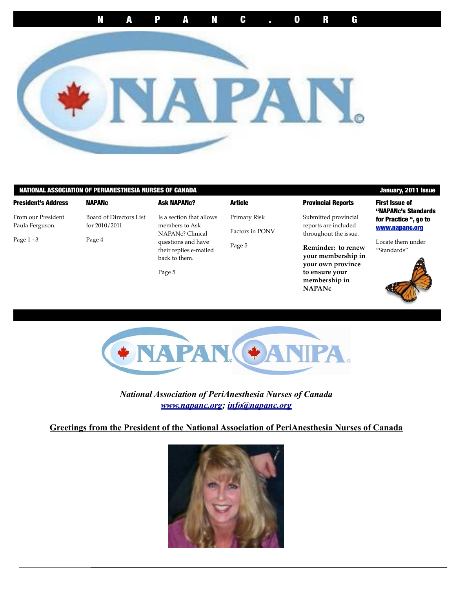

### NATIONAL ASSOCIATION OF PERIANESTHESIA NURSES OF CANADA January, 2011 Issue

#### President's Address

From our President Paula Ferguson.

for 2010/2011

NAPANc

| 27<br>÷<br>v |  |
|--------------|--|
|--------------|--|

Board of Directors List Page 4

| Is a section that allows |
|--------------------------|
| members to Ask           |
| NAPANc? Clinical         |
| questions and have       |
| their replies e-mailed   |
| back to them.            |
|                          |

Ask NAPANc?

Page 5

**Article** Primary Risk Factors in PONV Page 5

### Provincial Reports

Submitted provincial reports are included throughout the issue.

**Reminder: to renew your membership in your own province to ensure your membership in NAPANc**

First Issue of "NAPANc's Standards for Practice ", go to [www.napanc.org](http://www.napanc.org)

Locate them under "Standards"





*National Association of PeriAnesthesia Nurses of Canada [www.napanc.org;](http://www.napanc.org) [info@napanc.org](mailto:info@napanc.org)*

### **Greetings from the President of the National Association of PeriAnesthesia Nurses of Canada**

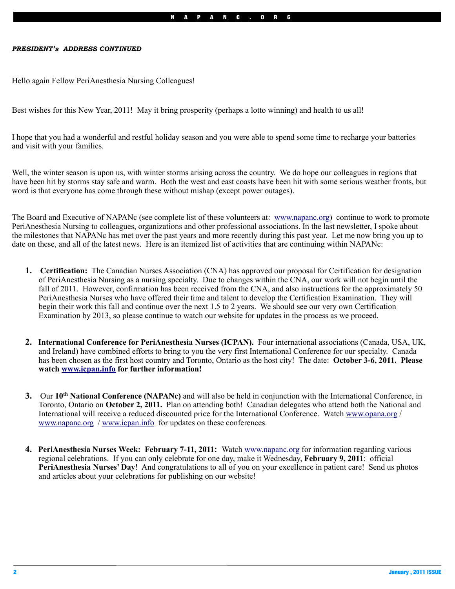#### *PRESIDENT's ADDRESS CONTINUED*

Hello again Fellow PeriAnesthesia Nursing Colleagues!

Best wishes for this New Year, 2011! May it bring prosperity (perhaps a lotto winning) and health to us all!

I hope that you had a wonderful and restful holiday season and you were able to spend some time to recharge your batteries and visit with your families.

Well, the winter season is upon us, with winter storms arising across the country. We do hope our colleagues in regions that have been hit by storms stay safe and warm. Both the west and east coasts have been hit with some serious weather fronts, but word is that everyone has come through these without mishap (except power outages).

The Board and Executive of NAPANc (see complete list of these volunteers at: [www.napanc.org\)](http://www.napanc.org) continue to work to promote PeriAnesthesia Nursing to colleagues, organizations and other professional associations. In the last newsletter, I spoke about the milestones that NAPANc has met over the past years and more recently during this past year. Let me now bring you up to date on these, and all of the latest news. Here is an itemized list of activities that are continuing within NAPANc:

- **1. Certification:** The Canadian Nurses Association (CNA) has approved our proposal for Certification for designation of PeriAnesthesia Nursing as a nursing specialty. Due to changes within the CNA, our work will not begin until the fall of 2011. However, confirmation has been received from the CNA, and also instructions for the approximately 50 PeriAnesthesia Nurses who have offered their time and talent to develop the Certification Examination. They will begin their work this fall and continue over the next 1.5 to 2 years. We should see our very own Certification Examination by 2013, so please continue to watch our website for updates in the process as we proceed.
- **2. International Conference for PeriAnesthesia Nurses (ICPAN).** Four international associations (Canada, USA, UK, and Ireland) have combined efforts to bring to you the very first International Conference for our specialty. Canada has been chosen as the first host country and Toronto, Ontario as the host city! The date: **October 3-6, 2011. Please watch [www.icpan.info](http://www.icpan.info) for further information!**
- **3.** Our **10th National Conference (NAPANc)** and will also be held in conjunction with the International Conference, in Toronto, Ontario on **October 2, 2011.** Plan on attending both! Canadian delegates who attend both the National and International will receive a reduced discounted price for the International Conference. Watch [www.opana.org](http://www.opana.org) / [www.napanc.org](http://www.napanc.org) / [www.icpan.info](http://www.icpan.info) for updates on these conferences.
- **4. PeriAnesthesia Nurses Week: February 7-11, 2011:** Watch [www.napanc.org](http://www.napanc.org) for information regarding various regional celebrations. If you can only celebrate for one day, make it Wednesday, **February 9, 2011**: official **PeriAnesthesia Nurses' Day**! And congratulations to all of you on your excellence in patient care! Send us photos and articles about your celebrations for publishing on our website!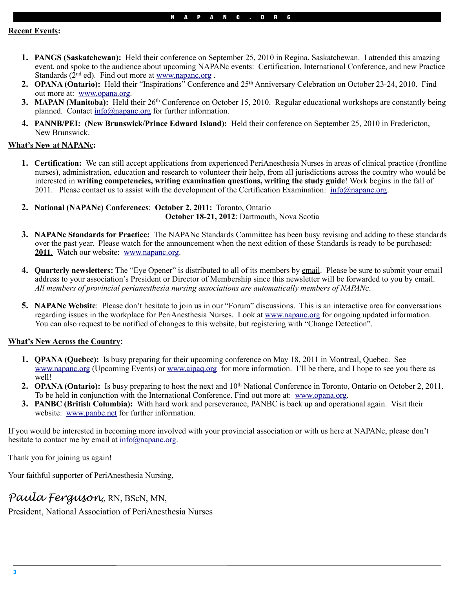- **1. PANGS (Saskatchewan):** Held their conference on September 25, 2010 in Regina, Saskatchewan. I attended this amazing event, and spoke to the audience about upcoming NAPANc events: Certification, International Conference, and new Practice Standards  $(2<sup>nd</sup>$  ed). Find out more at www.napanc.org.
- 2. **OPANA (Ontario):** Held their "Inspirations" Conference and 25<sup>th</sup> Anniversary Celebration on October 23-24, 2010. Find out more at: [www.opana.org.](http://www.opana.org)
- **3. MAPAN (Manitoba):** Held their 26<sup>th</sup> Conference on October 15, 2010. Regular educational workshops are constantly being planned. Contact [info@napanc.org](mailto:info@napanc.org) for further information.
- **4. PANNB/PEI: (New Brunswick/Prince Edward Island):** Held their conference on September 25, 2010 in Fredericton, New Brunswick.

### **What's New at NAPANc:**

- **1. Certification:** We can still accept applications from experienced PeriAnesthesia Nurses in areas of clinical practice (frontline nurses), administration, education and research to volunteer their help, from all jurisdictions across the country who would be interested in **writing competencies, writing examination questions, writing the study guide**! Work begins in the fall of 2011. Please contact us to assist with the development of the Certification Examination: [info@napanc.org](mailto:info@napanc.org).
- **2. National (NAPANc) Conferences**: **October 2, 2011:** Toronto, Ontario  **October 18-21, 2012**: Dartmouth, Nova Scotia
- **3. NAPANc Standards for Practice:** The NAPANc Standards Committee has been busy revising and adding to these standards over the past year. Please watch for the announcement when the next edition of these Standards is ready to be purchased: **2011**. Watch our website: [www.napanc.org.](http://www.napanc.org)
- **4. Quarterly newsletters:** The "Eye Opener" is distributed to all of its members by email. Please be sure to submit your email address to your association's President or Director of Membership since this newsletter will be forwarded to you by email. *All members of provincial perianesthesia nursing associations are automatically members of NAPANc*.
- **5. NAPANc Website**: Please don't hesitate to join us in our "Forum" discussions. This is an interactive area for conversations regarding issues in the workplace for PeriAnesthesia Nurses. Look at [www.napanc.org](http://www.napanc.org) for ongoing updated information. You can also request to be notified of changes to this website, but registering with "Change Detection".

### **What's New Across the Country:**

- **1. QPANA (Quebec):** Is busy preparing for their upcoming conference on May 18, 2011 in Montreal, Quebec. See [www.napanc.org](http://www.napanc.org) (Upcoming Events) or [www.aipaq.org](http://www.aipaq.org) for more information. I'll be there, and I hope to see you there as well!
- **2. OPANA (Ontario):** Is busy preparing to host the next and 10<sup>th</sup> National Conference in Toronto, Ontario on October 2, 2011. To be held in conjunction with the International Conference. Find out more at: [www.opana.org.](http://www.opana.org)
- **3. PANBC (British Columbia):** With hard work and perseverance, PANBC is back up and operational again. Visit their website: [www.panbc.net](http://www.panbc.net) for further information.

If you would be interested in becoming more involved with your provincial association or with us here at NAPANc, please don't hesitate to contact me by email at  $info(\hat{\omega})$  napanc.org.

Thank you for joining us again!

Your faithful supporter of PeriAnesthesia Nursing,

# *Paula Ferguson*,, RN, BScN, MN,

President, National Association of PeriAnesthesia Nurses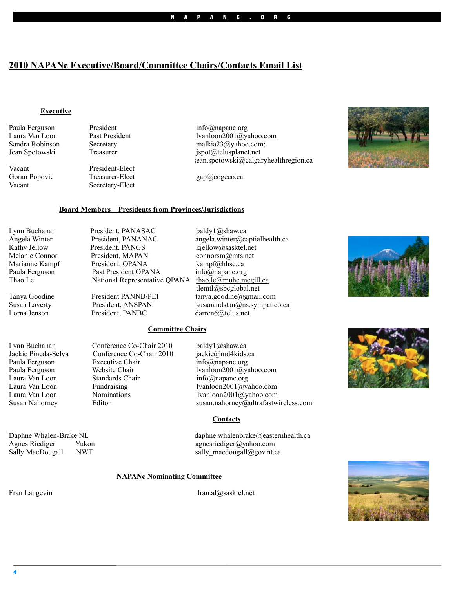# **2010 NAPANc Executive/Board/Committee Chairs/Contacts Email List**

### **Executive**

Paula Ferguson President info@napanc.org

Vacant President-Elect<br>Goran Popovic Treasurer-Elect

Treasurer-Elect gap $@$ cogeco.ca Vacant Secretary-Elect

Laura Van Loon Past President lyanloon2001@yahoo.com<br>
Sandra Robinson Secretary malkia23@yahoo.com Sandra Robinson Secretary malkia23@yahoo.com;<br>
Jean Spotowski Treasurer ispot $\omega$ telusplanet.net  $ispot@telusplanet.net$ jean.spotowski@calgaryhealthregion.ca

### **Board Members – Presidents from Provinces/Jurisdictions**

Lynn Buchanan President, PANASAC [baldy1@shaw.ca](mailto:baldy1@shaw.ca)<br>Angela Winter President, PANANAC angela winter@ca

Angela Winter President, PANANAC angela.winter@captialhealth.ca Kathy Jellow President, PANGS kjellow@sasktel.net Melanie Connor President, MAPAN connorsm@mts.net<br>
Marianne Kampf President, OPANA kampf@hhsc.ca Paula Ferguson Past President OPANA info@napanc.org Thao Le National Representative QPANA [thao.le@muhc.mcgill.ca](mailto:thao.le@muhc.mcgill.ca)

kampf@hhsc.ca tlemtl@sbcglobal.net Tanya Goodine President PANNB/PEI tanya.goodine@gmail.com Susan Laverty President, ANSPAN susanandstan@ns.sympatico.ca<br>
Lorna Jenson President, PANBC darren6@telus.net darren6@telus.net

### **Committee Chairs**

| Lynn Buchanan       | Conference Co-Chair 2010 | baldy1@shaw.ca                       |
|---------------------|--------------------------|--------------------------------------|
| Jackie Pineda-Selva | Conference Co-Chair 2010 | jackie@md4kids.ca                    |
| Paula Ferguson      | <b>Executive Chair</b>   | $info(a)$ napanc.org                 |
| Paula Ferguson      | Website Chair            | lvanloon2001@yahoo.com               |
| Laura Van Loon      | Standards Chair          | $info(a)$ napanc.org                 |
| Laura Van Loon      | Fundraising              | lvanloon2001@yahoo.com               |
| Laura Van Loon      | Nominations              | lvanloon2001@yahoo.com               |
| Susan Nahorney      | Editor                   | susan.nahorney@ultrafastwireless.com |
|                     |                          |                                      |

**Contacts**

Daphne Whalen-Brake NL [daphne.whalenbrake@easternhealth.ca](mailto:daphne.whalenbrake@easternhealth.ca) Agnes Riediger Yukon [agnesriediger@yahoo.com](mailto:agnesriediger@yahoo.com) Sally MacDougall NWT sally macdougall@gov.nt.ca

#### **NAPANc Nominating Committee**

Fran Langevin [fran.al@sasktel.net](mailto:fran.al@sasktel.net)







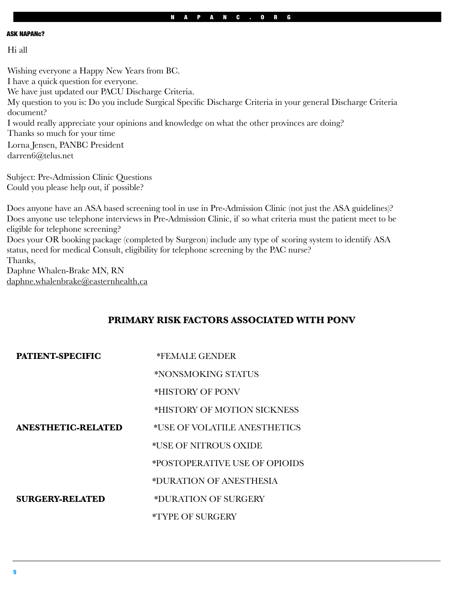#### ASK NAPANc?

Hi all

Wishing everyone a Happy New Years from BC. I have a quick question for everyone. We have just updated our PACU Discharge Criteria. My question to you is: Do you include Surgical Specific Discharge Criteria in your general Discharge Criteria document? I would really appreciate your opinions and knowledge on what the other provinces are doing? Thanks so much for your time Lorna Jensen, PANBC President darren6@telus.net

Subject: Pre-Admission Clinic Questions Could you please help out, if possible?

Does anyone have an ASA based screening tool in use in Pre-Admission Clinic (not just the ASA guidelines)? Does anyone use telephone interviews in Pre-Admission Clinic, if so what criteria must the patient meet to be eligible for telephone screening?

Does your OR booking package (completed by Surgeon) include any type of scoring system to identify ASA status, need for medical Consult, eligibility for telephone screening by the PAC nurse? Thanks,

Daphne Whalen-Brake MN, RN daphne.whalenbrake@easternhealth.ca

### **PRIMARY RISK FACTORS ASSOCIATED WITH PONV**

| PATIENT-SPECIFIC   | *FEMALE GENDER                 |  |
|--------------------|--------------------------------|--|
|                    | *NONSMOKING STATUS             |  |
|                    | *HISTORY OF PONV               |  |
|                    | *HISTORY OF MOTION SICKNESS    |  |
| ANESTHETIC-RELATED | *USE OF VOLATILE ANESTHETICS   |  |
|                    | *USE OF NITROUS OXIDE          |  |
|                    | *POSTOPER ATIVE USE OF OPIOIDS |  |
|                    | *DURATION OF ANESTHESIA        |  |
| SURGERY-RELATED    | *DURATION OF SURGERY           |  |
|                    | *TYPE OF SURGERY               |  |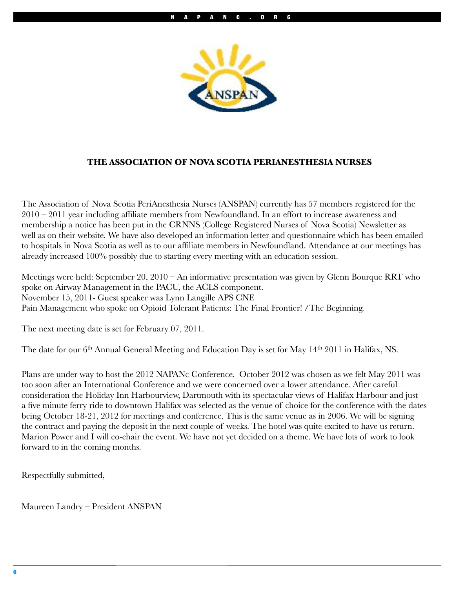

### **THE ASSOCIATION OF NOVA SCOTIA PERIANESTHESIA NURSES**

The Association of Nova Scotia PeriAnesthesia Nurses (ANSPAN) currently has 57 members registered for the 2010 – 2011 year including affiliate members from Newfoundland. In an effort to increase awareness and membership a notice has been put in the CRNNS (College Registered Nurses of Nova Scotia) Newsletter as well as on their website. We have also developed an information letter and questionnaire which has been emailed to hospitals in Nova Scotia as well as to our affiliate members in Newfoundland. Attendance at our meetings has already increased 100% possibly due to starting every meeting with an education session.

Meetings were held: September 20, 2010 – An informative presentation was given by Glenn Bourque RRT who spoke on Airway Management in the PACU, the ACLS component. November 15, 2011- Guest speaker was Lynn Langille APS CNE Pain Management who spoke on Opioid Tolerant Patients: The Final Frontier! /The Beginning.

The next meeting date is set for February 07, 2011.

The date for our 6<sup>th</sup> Annual General Meeting and Education Day is set for May 14<sup>th</sup> 2011 in Halifax, NS.

Plans are under way to host the 2012 NAPANc Conference. October 2012 was chosen as we felt May 2011 was too soon after an International Conference and we were concerned over a lower attendance. After careful consideration the Holiday Inn Harbourview, Dartmouth with its spectacular views of Halifax Harbour and just a five minute ferry ride to downtown Halifax was selected as the venue of choice for the conference with the dates being October 18-21, 2012 for meetings and conference. This is the same venue as in 2006. We will be signing the contract and paying the deposit in the next couple of weeks. The hotel was quite excited to have us return. Marion Power and I will co-chair the event. We have not yet decided on a theme. We have lots of work to look forward to in the coming months.

Respectfully submitted,

Maureen Landry – President ANSPAN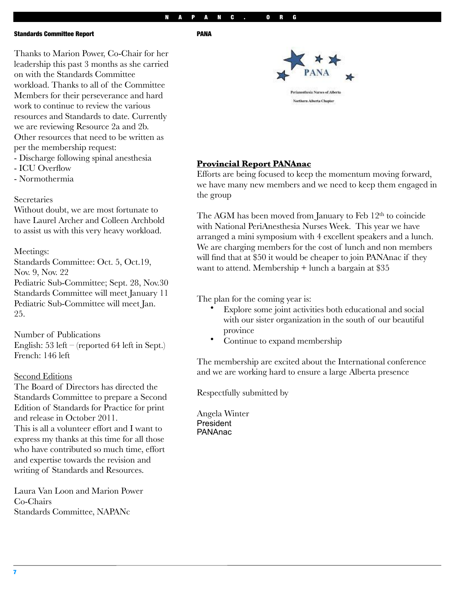#### NAPANC. ORG

PANA

#### Standards Committee Report

Thanks to Marion Power, Co-Chair for her leadership this past 3 months as she carried on with the Standards Committee workload. Thanks to all of the Committee Members for their perseverance and hard work to continue to review the various resources and Standards to date. Currently we are reviewing Resource 2a and 2b. Other resources that need to be written as per the membership request:

- Discharge following spinal anesthesia
- ICU Overflow
- Normothermia

### **Secretaries**

Without doubt, we are most fortunate to have Laurel Archer and Colleen Archbold to assist us with this very heavy workload.

### Meetings:

Standards Committee: Oct. 5, Oct.19, Nov. 9, Nov. 22 Pediatric Sub-Committee; Sept. 28, Nov.30 Standards Committee will meet January 11

Pediatric Sub-Committee will meet Jan. 25.

Number of Publications English: 53 left – (reported 64 left in Sept.) French: 146 left

### Second Editions

The Board of Directors has directed the Standards Committee to prepare a Second Edition of Standards for Practice for print and release in October 2011. This is all a volunteer effort and I want to express my thanks at this time for all those who have contributed so much time, effort and expertise towards the revision and writing of Standards and Resources.

Laura Van Loon and Marion Power Co-Chairs Standards Committee, NAPANc

erinnesthesia Nurses of Alberta

Northern Alberta Chapter

### **Provincial Report PANAnac**

Efforts are being focused to keep the momentum moving forward, we have many new members and we need to keep them engaged in the group

The AGM has been moved from January to Feb 12<sup>th</sup> to coincide with National PeriAnesthesia Nurses Week. This year we have arranged a mini symposium with 4 excellent speakers and a lunch. We are charging members for the cost of lunch and non members will find that at \$50 it would be cheaper to join PANAnac if they want to attend. Membership + lunch a bargain at \$35

The plan for the coming year is:

- Explore some joint activities both educational and social with our sister organization in the south of our beautiful province
- Continue to expand membership

The membership are excited about the International conference and we are working hard to ensure a large Alberta presence

Respectfully submitted by

Angela Winter President PANAnac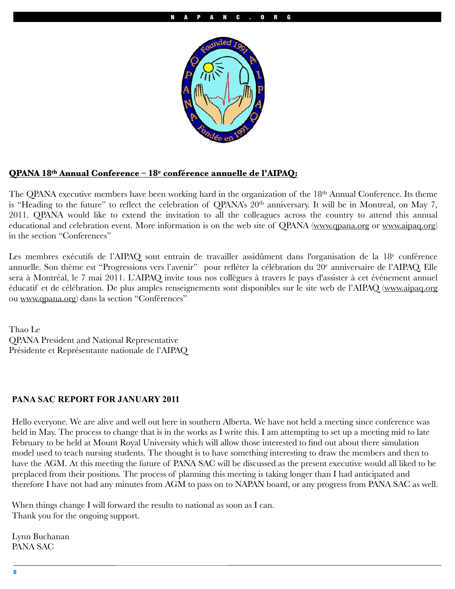

### **QPANA 18th Annual Conference – 18e conférence annuelle de l'AIPAQ:**

The QPANA executive members have been working hard in the organization of the 18<sup>th</sup> Annual Conference. Its theme is "Heading to the future" to reflect the celebration of QPANA's 20<sup>th</sup> anniversary. It will be in Montreal, on May 7, 2011. QPANA would like to extend the invitation to all the colleagues across the country to attend this annual educational and celebration event. More information is on the web site of QPANA [\(www.qpana.org](http://www.qpana.org) or [www.aipaq.org\)](http://www.aipaq.org) in the section "Conferences"

Les membres exécutifs de l'AIPAQ sont entrain de travailler assidûment dans l'organisation de la 18<sup>e</sup> conférence annuelle. Son thème est "Progressions vers l'avenir" pour refléter la célébration du 20<sup>e</sup> anniversaire de l'AIPAQ. Elle sera à Montréal, le 7 mai 2011. L'AIPAQ invite tous nos collègues à travers le pays d'assister à cet événement annuel éducatif et de célébration. De plus amples renseignements sont disponibles sur le site web de l'AIPAQ [\(www.aipaq.org](http://www.aipaq.org) ou [www.qpana.org\)](http://www.qpana.org) dans la section "Conférences"

Thao Le QPANA President and National Representative Présidente et Représentante nationale de l'AIPAQ

### **PANA SAC REPORT FOR JANUARY 2011**

Hello everyone. We are alive and well out here in southern Alberta. We have not held a meeting since conference was held in May. The process to change that is in the works as I write this. I am attempting to set up a meeting mid to late February to be held at Mount Royal University which will allow those interested to find out about there simulation model used to teach nursing students. The thought is to have something interesting to draw the members and then to have the AGM. At this meeting the future of PANA SAC will be discussed as the present executive would all liked to be preplaced from their positions. The process of planning this meeting is taking longer than I had anticipated and therefore I have not had any minutes from AGM to pass on to NAPAN board, or any progress from PANA SAC as well.

When things change I will forward the results to national as soon as I can. Thank you for the ongoing support.

Lynn Buchanan PANA SAC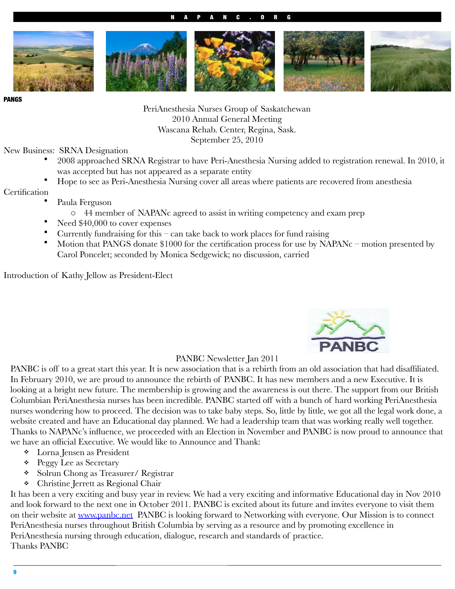### NAPANC.ORG



PANGS

PeriAnesthesia Nurses Group of Saskatchewan 2010 Annual General Meeting Wascana Rehab. Center, Regina, Sask. September 25, 2010

New Business: SRNA Designation

- 2008 approached SRNA Registrar to have Peri-Anesthesia Nursing added to registration renewal. In 2010, it was accepted but has not appeared as a separate entity
- Hope to see as Peri-Anesthesia Nursing cover all areas where patients are recovered from anesthesia

**Certification** 

- Paula Ferguson
	- o 44 member of NAPANc agreed to assist in writing competency and exam prep
- Need  $$40,000$  to cover expenses
- Currently fundraising for this can take back to work places for fund raising
- Motion that PANGS donate \$1000 for the certification process for use by NAPANc motion presented by Carol Poncelet; seconded by Monica Sedgewick; no discussion, carried

Introduction of Kathy Jellow as President-Elect



### PANBC Newsletter Jan 2011

PANBC is off to a great start this year. It is new association that is a rebirth from an old association that had disaffiliated. In February 2010, we are proud to announce the rebirth of PANBC. It has new members and a new Executive. It is looking at a bright new future. The membership is growing and the awareness is out there. The support from our British Columbian PeriAnesthesia nurses has been incredible. PANBC started off with a bunch of hard working PeriAnesthesia nurses wondering how to proceed. The decision was to take baby steps. So, little by little, we got all the legal work done, a website created and have an Educational day planned. We had a leadership team that was working really well together. Thanks to NAPANc's influence, we proceeded with an Election in November and PANBC is now proud to announce that we have an official Executive. We would like to Announce and Thank:

- ! Lorna Jensen as President
- **\*** Peggy Lee as Secretary
- ! Solrun Chong as Treasurer/ Registrar
- ! Christine Jerrett as Regional Chair

It has been a very exciting and busy year in review. We had a very exciting and informative Educational day in Nov 2010 and look forward to the next one in October 2011. PANBC is excited about its future and invites everyone to visit them on their website at [www.panbc.net](http://www.panbc.net) PANBC is looking forward to Networking with everyone. Our Mission is to connect PeriAnesthesia nurses throughout British Columbia by serving as a resource and by promoting excellence in PeriAnesthesia nursing through education, dialogue, research and standards of practice. Thanks PANBC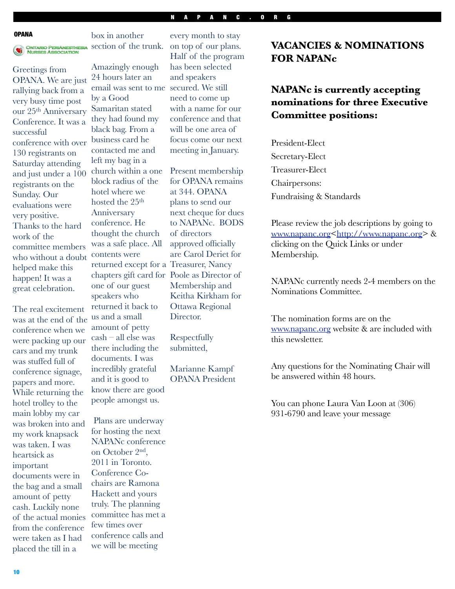#### NAPANC.ORG

#### **OPANA**



box in another ONTARIO PERIANESTHESIA Section of the trunk.

Greetings from OPANA. We are just rallying back from a very busy time post our 25th Anniversary Conference. It was a successful conference with over 130 registrants on Saturday attending and just under a 100 registrants on the Sunday. Our evaluations were very positive. Thanks to the hard work of the committee members who without a doubt helped make this happen! It was a great celebration.

The real excitement was at the end of the conference when we were packing up our cars and my trunk was stuffed full of conference signage, papers and more. While returning the hotel trolley to the main lobby my car was broken into and my work knapsack was taken. I was heartsick as important documents were in the bag and a small amount of petty cash. Luckily none of the actual monies from the conference were taken as I had placed the till in a

Amazingly enough 24 hours later an email was sent to me secured. We still by a Good Samaritan stated they had found my black bag. From a business card he contacted me and left my bag in a church within a one block radius of the hotel where we hosted the 25<sup>th</sup> Anniversary conference. He thought the church was a safe place. All contents were returned except for a Treasurer, Nancy chapters gift card for Poole as Director of one of our guest speakers who returned it back to us and a small amount of petty cash – all else was there including the documents. I was incredibly grateful and it is good to know there are good people amongst us.

 Plans are underway for hosting the next NAPANc conference on October 2nd, 2011 in Toronto. Conference Cochairs are Ramona Hackett and yours truly. The planning committee has met a few times over conference calls and we will be meeting

every month to stay on top of our plans. Half of the program has been selected and speakers need to come up with a name for our conference and that will be one area of focus come our next meeting in January.

Present membership for OPANA remains at 344. OPANA plans to send our next cheque for dues to NAPANc. BODS of directors approved officially are Carol Deriet for Membership and Keitha Kirkham for Ottawa Regional Director.

Respectfully submitted,

Marianne Kampf OPANA President

# **VACANCIES & NOMINATIONS FOR NAPANc**

# **NAPANc is currently accepting nominations for three Executive Committee positions:**

President-Elect Secretary-Elect Treasurer-Elect Chairpersons: Fundraising & Standards

Please review the job descriptions by going to [www.napanc.org<http://www.napanc.org>](http://www.napanc.org) & clicking on the Quick Links or under Membership.

NAPANc currently needs 2-4 members on the Nominations Committee.

The nomination forms are on the [www.napanc.org](http://www.napanc.org) website & are included with this newsletter.

Any questions for the Nominating Chair will be answered within 48 hours.

You can phone Laura Van Loon at (306) 931-6790 and leave your message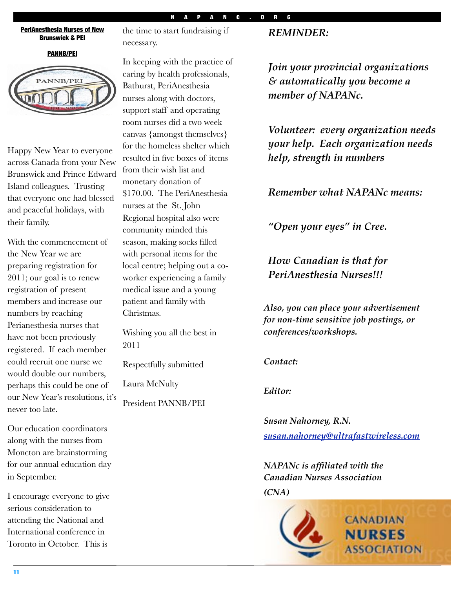### NAPANC.ORG

#### PeriAnesthesia Nurses of New Brunswick & PEI

#### PANNB/PEI



Happy New Year to everyone across Canada from your New Brunswick and Prince Edward Island colleagues. Trusting that everyone one had blessed and peaceful holidays, with their family.

With the commencement of the New Year we are preparing registration for 2011; our goal is to renew registration of present members and increase our numbers by reaching Perianesthesia nurses that have not been previously registered. If each member could recruit one nurse we would double our numbers, perhaps this could be one of our New Year's resolutions, it's never too late.

Our education coordinators along with the nurses from Moncton are brainstorming for our annual education day in September.

I encourage everyone to give serious consideration to attending the National and International conference in Toronto in October. This is

the time to start fundraising if necessary.

In keeping with the practice of caring by health professionals, Bathurst, PeriAnesthesia nurses along with doctors, support staff and operating room nurses did a two week canvas {amongst themselves} for the homeless shelter which resulted in five boxes of items from their wish list and monetary donation of \$170.00. The PeriAnesthesia nurses at the St. John Regional hospital also were community minded this season, making socks filled with personal items for the local centre; helping out a coworker experiencing a family medical issue and a young patient and family with Christmas.

Wishing you all the best in 2011

Respectfully submitted

Laura McNulty

President PANNB/PEI

### *REMINDER:*

*Join your provincial organizations & automatically you become a member of NAPANc.*

*Volunteer: every organization needs your help. Each organization needs help, strength in numbers*

*Remember what NAPANc means:*

*"Open your eyes" in Cree.*

*How Canadian is that for PeriAnesthesia Nurses!!!*

*Also, you can place your advertisement for non-time sensitive job postings, or conferences/workshops.*

*Contact:*

*Editor:*

*Susan Nahorney, R.N. [susan.nahorney@ultrafastwireless.com](mailto:susan.nahorney@ultrafastwireless.com)*

*NAPANc is affiliated with the Canadian Nurses Association*

*(CNA)*

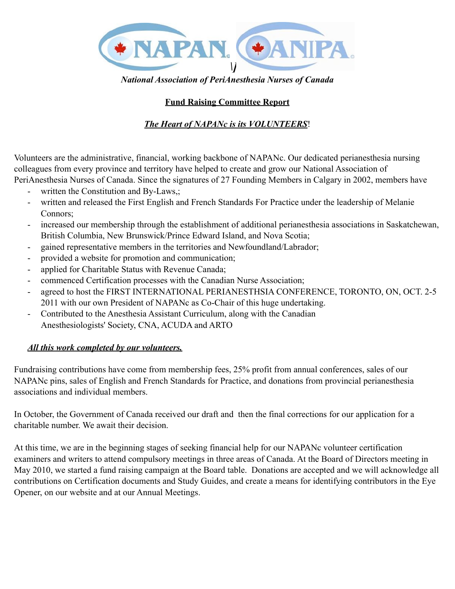

*National Association of PeriAnesthesia Nurses of Canada*

# **Fund Raising Committee Report**

# *The Heart of NAPANc is its VOLUNTEERS*!

Volunteers are the administrative, financial, working backbone of NAPANc. Our dedicated perianesthesia nursing colleagues from every province and territory have helped to create and grow our National Association of PeriAnesthesia Nurses of Canada. Since the signatures of 27 Founding Members in Calgary in 2002, members have

- written the Constitution and By-Laws,;
- written and released the First English and French Standards For Practice under the leadership of Melanie Connors;
- increased our membership through the establishment of additional perianesthesia associations in Saskatchewan, British Columbia, New Brunswick/Prince Edward Island, and Nova Scotia;
- gained representative members in the territories and Newfoundland/Labrador;
- provided a website for promotion and communication;
- applied for Charitable Status with Revenue Canada;
- commenced Certification processes with the Canadian Nurse Association;
- agreed to host the FIRST INTERNATIONAL PERIANESTHSIA CONFERENCE, TORONTO, ON, OCT. 2-5 2011 with our own President of NAPANc as Co-Chair of this huge undertaking.
- Contributed to the Anesthesia Assistant Curriculum, along with the Canadian Anesthesiologists' Society, CNA, ACUDA and ARTO

## *All this work completed by our volunteers.*

Fundraising contributions have come from membership fees, 25% profit from annual conferences, sales of our NAPANc pins, sales of English and French Standards for Practice, and donations from provincial perianesthesia associations and individual members.

In October, the Government of Canada received our draft and then the final corrections for our application for a charitable number. We await their decision.

At this time, we are in the beginning stages of seeking financial help for our NAPANc volunteer certification examiners and writers to attend compulsory meetings in three areas of Canada. At the Board of Directors meeting in May 2010, we started a fund raising campaign at the Board table. Donations are accepted and we will acknowledge all contributions on Certification documents and Study Guides, and create a means for identifying contributors in the Eye Opener, on our website and at our Annual Meetings.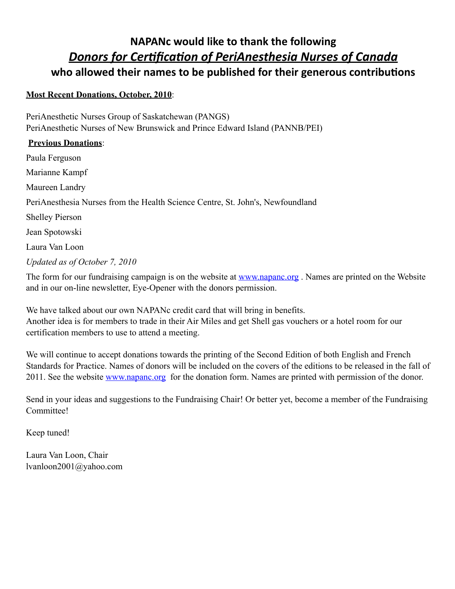# **NAPANc would like to thank the following Donors for Certification of PeriAnesthesia Nurses of Canada** who allowed their names to be published for their generous contributions

### **Most Recent Donations, October, 2010**:

PeriAnesthetic Nurses Group of Saskatchewan (PANGS) PeriAnesthetic Nurses of New Brunswick and Prince Edward Island (PANNB/PEI)

### **Previous Donations**:

Paula Ferguson Marianne Kampf Maureen Landry PeriAnesthesia Nurses from the Health Science Centre, St. John's, Newfoundland Shelley Pierson Jean Spotowski Laura Van Loon *Updated as of October 7, 2010*

The form for our fundraising campaign is on the website at [www.napanc.org](http://www.napanc.org) . Names are printed on the Website and in our on-line newsletter, Eye-Opener with the donors permission.

We have talked about our own NAPANc credit card that will bring in benefits. Another idea is for members to trade in their Air Miles and get Shell gas vouchers or a hotel room for our certification members to use to attend a meeting.

We will continue to accept donations towards the printing of the Second Edition of both English and French Standards for Practice. Names of donors will be included on the covers of the editions to be released in the fall of 2011. See the website [www.napanc.org](http://www.napanc.org) for the donation form. Names are printed with permission of the donor.

Send in your ideas and suggestions to the Fundraising Chair! Or better yet, become a member of the Fundraising Committee!

Keep tuned!

Laura Van Loon, Chair lvanloon2001@yahoo.com